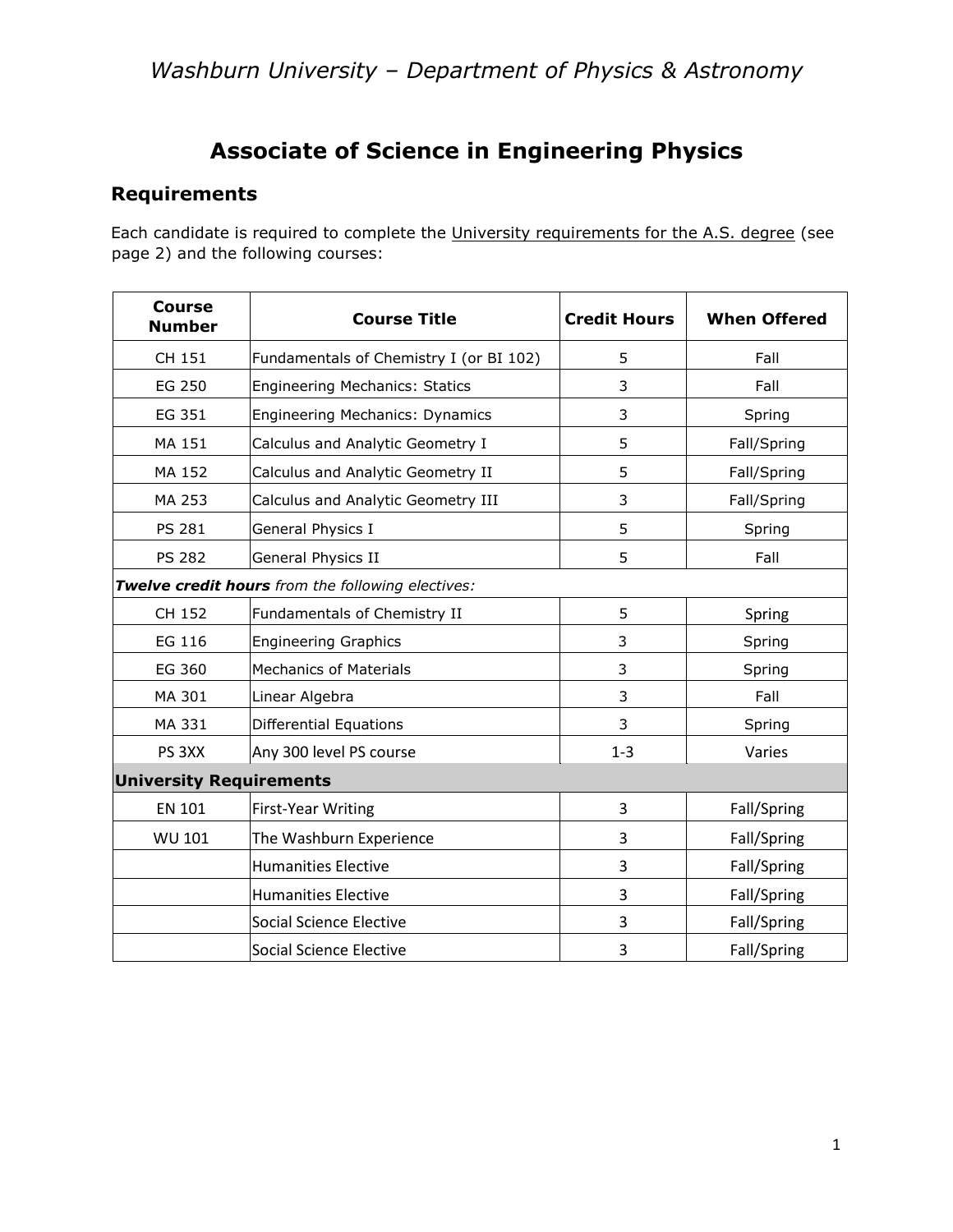## **Associate of Science in Engineering Physics**

## **Requirements**

Each candidate is required to complete the University requirements for the A.S. degree (see page 2) and the following courses:

| <b>Course</b><br><b>Number</b>                    | <b>Course Title</b>                     | <b>Credit Hours</b> | <b>When Offered</b> |  |
|---------------------------------------------------|-----------------------------------------|---------------------|---------------------|--|
| CH 151                                            | Fundamentals of Chemistry I (or BI 102) | 5                   | Fall                |  |
| EG 250                                            | <b>Engineering Mechanics: Statics</b>   | 3                   | Fall                |  |
| EG 351                                            | <b>Engineering Mechanics: Dynamics</b>  | 3                   | Spring              |  |
| MA 151                                            | Calculus and Analytic Geometry I        | 5                   | Fall/Spring         |  |
| MA 152                                            | Calculus and Analytic Geometry II       | 5                   | Fall/Spring         |  |
| MA 253                                            | Calculus and Analytic Geometry III      | 3                   | Fall/Spring         |  |
| <b>PS 281</b>                                     | General Physics I                       | 5                   | Spring              |  |
| <b>PS 282</b>                                     | General Physics II                      | 5                   | Fall                |  |
| Twelve credit hours from the following electives: |                                         |                     |                     |  |
| CH 152                                            | Fundamentals of Chemistry II            | 5                   | Spring              |  |
| EG 116                                            | <b>Engineering Graphics</b>             | 3                   | Spring              |  |
| EG 360                                            | <b>Mechanics of Materials</b>           | 3                   | Spring              |  |
| MA 301                                            | Linear Algebra                          | 3                   | Fall                |  |
| MA 331                                            | <b>Differential Equations</b>           | 3                   | Spring              |  |
| PS <sub>3</sub> XX                                | Any 300 level PS course                 | $1 - 3$             | Varies              |  |
| <b>University Requirements</b>                    |                                         |                     |                     |  |
| <b>EN 101</b>                                     | <b>First-Year Writing</b>               | 3                   | Fall/Spring         |  |
| <b>WU 101</b>                                     | The Washburn Experience                 | 3                   | Fall/Spring         |  |
|                                                   | <b>Humanities Elective</b>              | 3                   | Fall/Spring         |  |
|                                                   | <b>Humanities Elective</b>              | 3                   | Fall/Spring         |  |
|                                                   | <b>Social Science Elective</b>          | 3                   | Fall/Spring         |  |
|                                                   | <b>Social Science Elective</b>          | 3                   | Fall/Spring         |  |